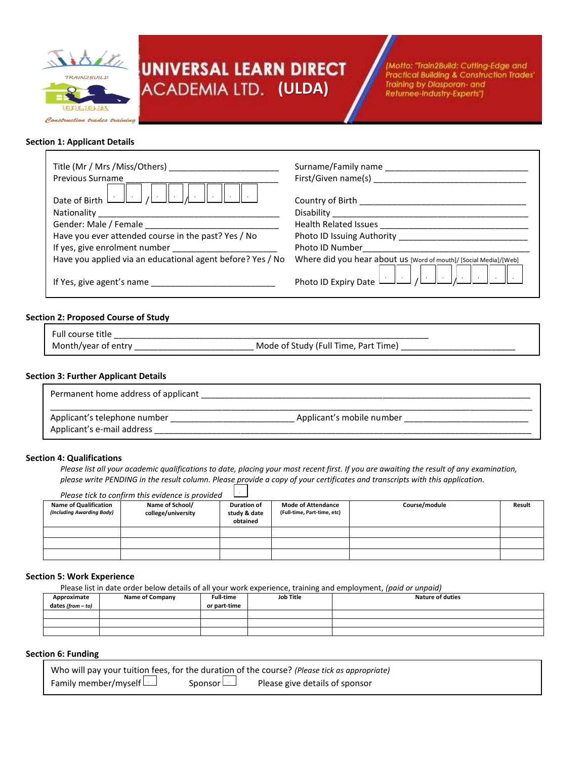

# UNIVERSAL LEARN DIRECT **(ULDA)**

(Motto: "Train2Build: Cutting-Edge and Practical Building & Construction Trades' Training by Diasporan- and Returnee-Industry-Experts")

## **Section 1: Applicant Details**

г

| <b>Previous Surname</b>                                                                                                       | Surname/Family name<br>First/Given name(s)                        |
|-------------------------------------------------------------------------------------------------------------------------------|-------------------------------------------------------------------|
| Date of Birth $\begin{array}{ c c c c c }\n\hline\n\end{array}$ Date of Birth $\begin{array}{ c c c c }\n\hline\n\end{array}$ | Country of Birth __________________                               |
|                                                                                                                               |                                                                   |
|                                                                                                                               |                                                                   |
| Have you ever attended course in the past? Yes / No                                                                           |                                                                   |
|                                                                                                                               | Photo ID Number                                                   |
| Have you applied via an educational agent before? Yes / No                                                                    | Where did you hear about us [Word of mouth]/ [Social Media]/[Web] |
|                                                                                                                               |                                                                   |

## **Section 2: Proposed Course of Study**

Full course title

Month/year of entry \_\_\_\_\_\_\_\_\_\_\_\_\_\_\_\_\_\_\_\_\_\_\_\_\_ Mode of Study (Full Time, Part Time) \_\_\_\_\_\_\_\_\_\_\_\_\_\_\_\_\_\_\_\_\_\_\_\_

## **Section 3: Further Applicant Details**

| Permanent home address of applicant                        |                           |  |
|------------------------------------------------------------|---------------------------|--|
| Applicant's telephone number<br>Applicant's e-mail address | Applicant's mobile number |  |

#### **Section 4: Qualifications**

*Please list all your academic qualifications to date, placing your most recent first. If you are awaiting the result of any examination, please write PENDING in the result column. Please provide a copy of your certificates and transcripts with this application.*

|                                                           | Please tick to confirm this evidence is provided | $\sim$                                         |                                                          |               |        |
|-----------------------------------------------------------|--------------------------------------------------|------------------------------------------------|----------------------------------------------------------|---------------|--------|
| <b>Name of Qualification</b><br>(Including Awarding Body) | Name of School/<br>college/university            | <b>Duration of</b><br>study & date<br>obtained | <b>Mode of Attendance</b><br>(Full-time, Part-time, etc) | Course/module | Result |
|                                                           |                                                  |                                                |                                                          |               |        |
|                                                           |                                                  |                                                |                                                          |               |        |
|                                                           |                                                  |                                                |                                                          |               |        |

#### **Section 5: Work Experience**

Please list in date order below details of all your work experience, training and employment, *(paid or unpaid)*

| Approximate         | <b>Name of Company</b> | <b>Full-time</b> | <b>Job Title</b> | <b>Nature of duties</b> |
|---------------------|------------------------|------------------|------------------|-------------------------|
| dates (from $-$ to) |                        | or part-time     |                  |                         |
|                     |                        |                  |                  |                         |
|                     |                        |                  |                  |                         |
|                     |                        |                  |                  |                         |

## **Section 6: Funding**

|                      |                | Who will pay your tuition fees, for the duration of the course? (Please tick as appropriate) |
|----------------------|----------------|----------------------------------------------------------------------------------------------|
| Family member/myself | Sponsor $\Box$ | Please give details of sponsor                                                               |
|                      |                |                                                                                              |